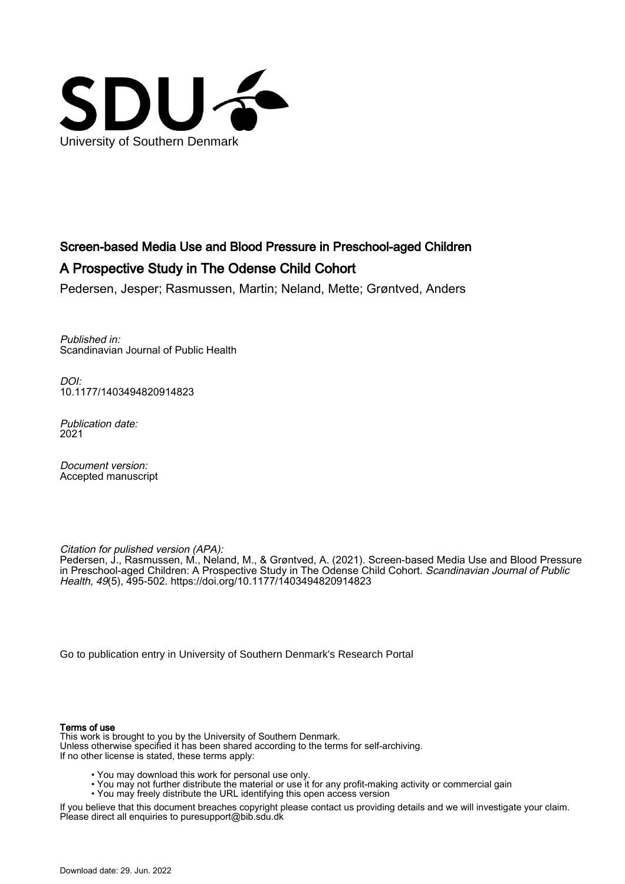

## Screen-based Media Use and Blood Pressure in Preschool-aged Children A Prospective Study in The Odense Child Cohort

Pedersen, Jesper; Rasmussen, Martin; Neland, Mette; Grøntved, Anders

Published in: Scandinavian Journal of Public Health

DOI: [10.1177/1403494820914823](https://doi.org/10.1177/1403494820914823)

Publication date: 2021

Document version: Accepted manuscript

Citation for pulished version (APA):

Pedersen, J., Rasmussen, M., Neland, M., & Grøntved, A. (2021). Screen-based Media Use and Blood Pressure in Preschool-aged Children: A Prospective Study in The Odense Child Cohort. *Scandinavian Journal of Public* Health, 49(5), 495-502. <https://doi.org/10.1177/1403494820914823>

[Go to publication entry in University of Southern Denmark's Research Portal](https://portal.findresearcher.sdu.dk/en/publications/911b88ff-ba79-4176-b5c2-d4dcdfb65284)

#### Terms of use

This work is brought to you by the University of Southern Denmark. Unless otherwise specified it has been shared according to the terms for self-archiving. If no other license is stated, these terms apply:

- You may download this work for personal use only.
- You may not further distribute the material or use it for any profit-making activity or commercial gain
- You may freely distribute the URL identifying this open access version

If you believe that this document breaches copyright please contact us providing details and we will investigate your claim. Please direct all enquiries to puresupport@bib.sdu.dk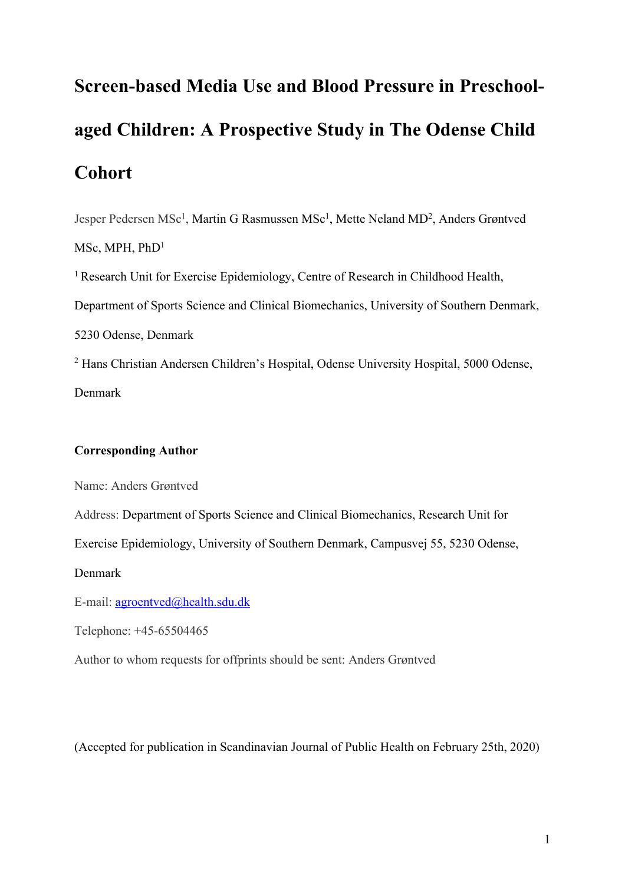# **Screen-based Media Use and Blood Pressure in Preschoolaged Children: A Prospective Study in The Odense Child Cohort**

Jesper Pedersen MSc<sup>1</sup>, Martin G Rasmussen MSc<sup>1</sup>, Mette Neland MD<sup>2</sup>, Anders Grøntved

MSc, MPH, PhD<sup>1</sup>

<sup>1</sup> Research Unit for Exercise Epidemiology, Centre of Research in Childhood Health, Department of Sports Science and Clinical Biomechanics, University of Southern Denmark, 5230 Odense, Denmark <sup>2</sup> Hans Christian Andersen Children's Hospital, Odense University Hospital, 5000 Odense,

Denmark

#### **Corresponding Author**

Name: Anders Grøntved

Address: Department of Sports Science and Clinical Biomechanics, Research Unit for

Exercise Epidemiology, University of Southern Denmark, Campusvej 55, 5230 Odense,

Denmark

E-mail: agroentved@health.sdu.dk

Telephone: +45-65504465

Author to whom requests for offprints should be sent: Anders Grøntved

(Accepted for publication in Scandinavian Journal of Public Health on February 25th, 2020)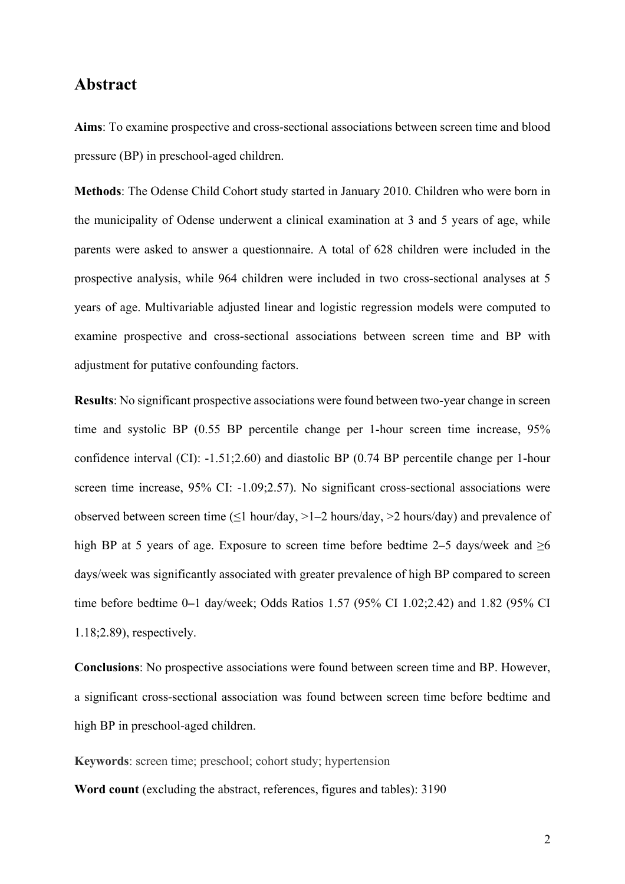#### **Abstract**

**Aims**: To examine prospective and cross-sectional associations between screen time and blood pressure (BP) in preschool-aged children.

**Methods**: The Odense Child Cohort study started in January 2010. Children who were born in the municipality of Odense underwent a clinical examination at 3 and 5 years of age, while parents were asked to answer a questionnaire. A total of 628 children were included in the prospective analysis, while 964 children were included in two cross-sectional analyses at 5 years of age. Multivariable adjusted linear and logistic regression models were computed to examine prospective and cross-sectional associations between screen time and BP with adjustment for putative confounding factors.

**Results**: No significant prospective associations were found between two-year change in screen time and systolic BP (0.55 BP percentile change per 1-hour screen time increase, 95% confidence interval (CI): -1.51;2.60) and diastolic BP (0.74 BP percentile change per 1-hour screen time increase, 95% CI: -1.09;2.57). No significant cross-sectional associations were observed between screen time (≤1 hour/day, >1**–**2 hours/day, >2 hours/day) and prevalence of high BP at 5 years of age. Exposure to screen time before bedtime 2**–**5 days/week and ≥6 days/week was significantly associated with greater prevalence of high BP compared to screen time before bedtime 0**–**1 day/week; Odds Ratios 1.57 (95% CI 1.02;2.42) and 1.82 (95% CI 1.18;2.89), respectively.

**Conclusions**: No prospective associations were found between screen time and BP. However, a significant cross-sectional association was found between screen time before bedtime and high BP in preschool-aged children.

**Keywords**: screen time; preschool; cohort study; hypertension

**Word count** (excluding the abstract, references, figures and tables): 3190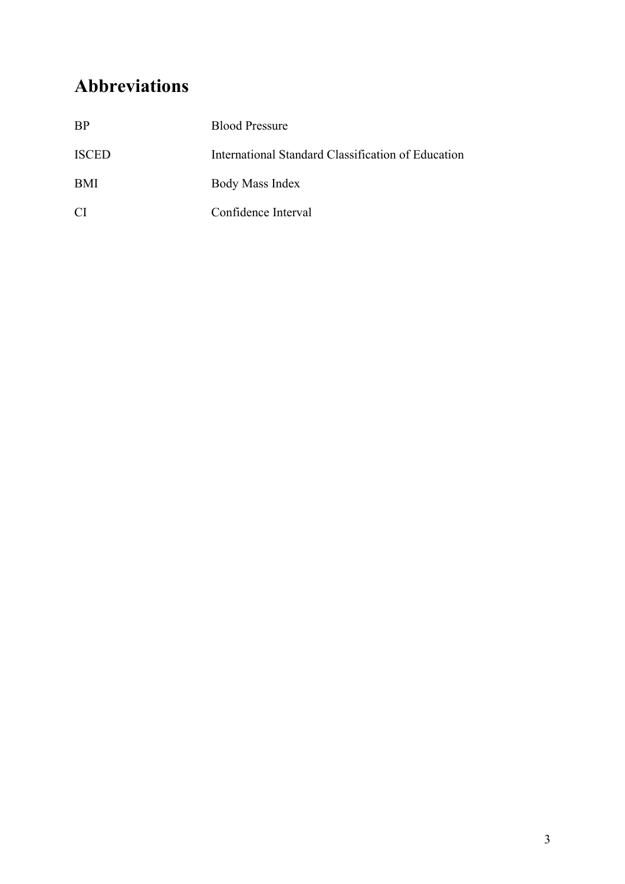## **Abbreviations**

| <b>BP</b>      | <b>Blood Pressure</b>                              |
|----------------|----------------------------------------------------|
| <b>ISCED</b>   | International Standard Classification of Education |
| <b>BMI</b>     | Body Mass Index                                    |
| <sup>C</sup> I | Confidence Interval                                |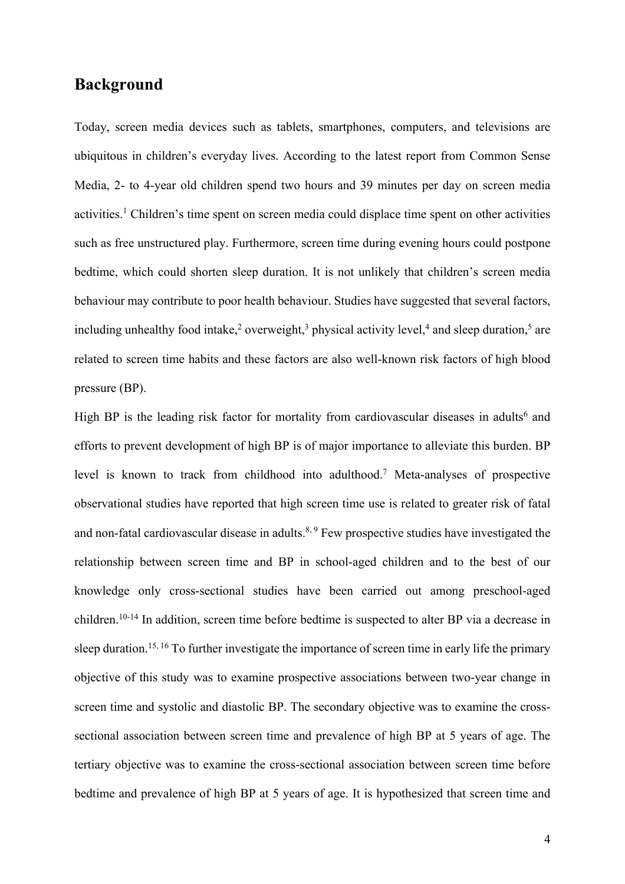## **Background**

Today, screen media devices such as tablets, smartphones, computers, and televisions are ubiquitous in children's everyday lives. According to the latest report from Common Sense Media, 2- to 4-year old children spend two hours and 39 minutes per day on screen media activities.1 Children's time spent on screen media could displace time spent on other activities such as free unstructured play. Furthermore, screen time during evening hours could postpone bedtime, which could shorten sleep duration. It is not unlikely that children's screen media behaviour may contribute to poor health behaviour. Studies have suggested that several factors, including unhealthy food intake,<sup>2</sup> overweight,<sup>3</sup> physical activity level,<sup>4</sup> and sleep duration,<sup>5</sup> are related to screen time habits and these factors are also well-known risk factors of high blood pressure (BP).

High BP is the leading risk factor for mortality from cardiovascular diseases in adults<sup>6</sup> and efforts to prevent development of high BP is of major importance to alleviate this burden. BP level is known to track from childhood into adulthood.7 Meta-analyses of prospective observational studies have reported that high screen time use is related to greater risk of fatal and non-fatal cardiovascular disease in adults.<sup>8, 9</sup> Few prospective studies have investigated the relationship between screen time and BP in school-aged children and to the best of our knowledge only cross-sectional studies have been carried out among preschool-aged children.10-14 In addition, screen time before bedtime is suspected to alter BP via a decrease in sleep duration.<sup>15, 16</sup> To further investigate the importance of screen time in early life the primary objective of this study was to examine prospective associations between two-year change in screen time and systolic and diastolic BP. The secondary objective was to examine the crosssectional association between screen time and prevalence of high BP at 5 years of age. The tertiary objective was to examine the cross-sectional association between screen time before bedtime and prevalence of high BP at 5 years of age. It is hypothesized that screen time and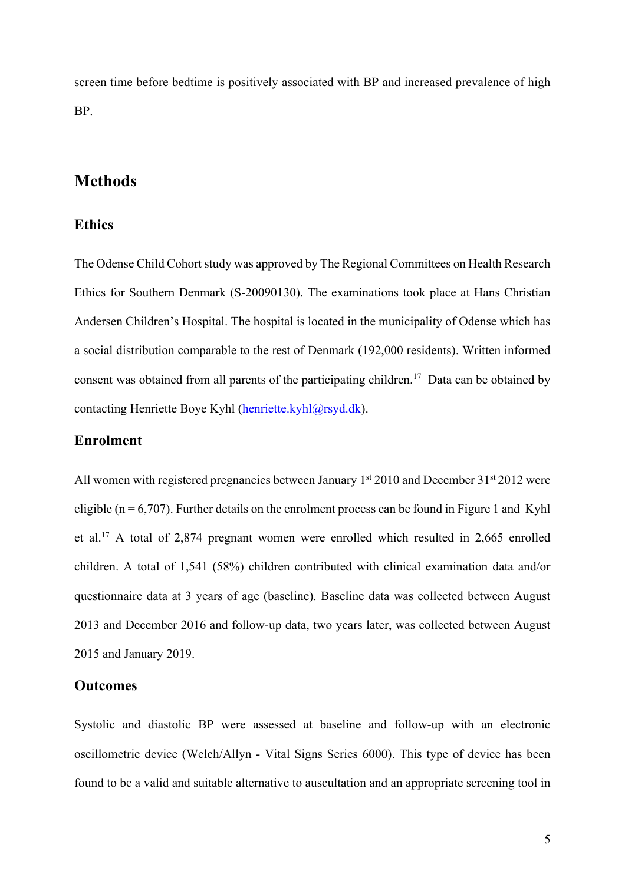screen time before bedtime is positively associated with BP and increased prevalence of high BP.

## **Methods**

#### **Ethics**

The Odense Child Cohort study was approved by The Regional Committees on Health Research Ethics for Southern Denmark (S-20090130). The examinations took place at Hans Christian Andersen Children's Hospital. The hospital is located in the municipality of Odense which has a social distribution comparable to the rest of Denmark (192,000 residents). Written informed consent was obtained from all parents of the participating children.<sup>17</sup> Data can be obtained by contacting Henriette Boye Kyhl (henriette.kyhl@rsyd.dk).

#### **Enrolment**

All women with registered pregnancies between January  $1<sup>st</sup> 2010$  and December 31 $<sup>st</sup> 2012$  were</sup> eligible ( $n = 6,707$ ). Further details on the enrolment process can be found in Figure 1 and Kyhl et al.17 A total of 2,874 pregnant women were enrolled which resulted in 2,665 enrolled children. A total of 1,541 (58%) children contributed with clinical examination data and/or questionnaire data at 3 years of age (baseline). Baseline data was collected between August 2013 and December 2016 and follow-up data, two years later, was collected between August 2015 and January 2019.

#### **Outcomes**

Systolic and diastolic BP were assessed at baseline and follow-up with an electronic oscillometric device (Welch/Allyn - Vital Signs Series 6000). This type of device has been found to be a valid and suitable alternative to auscultation and an appropriate screening tool in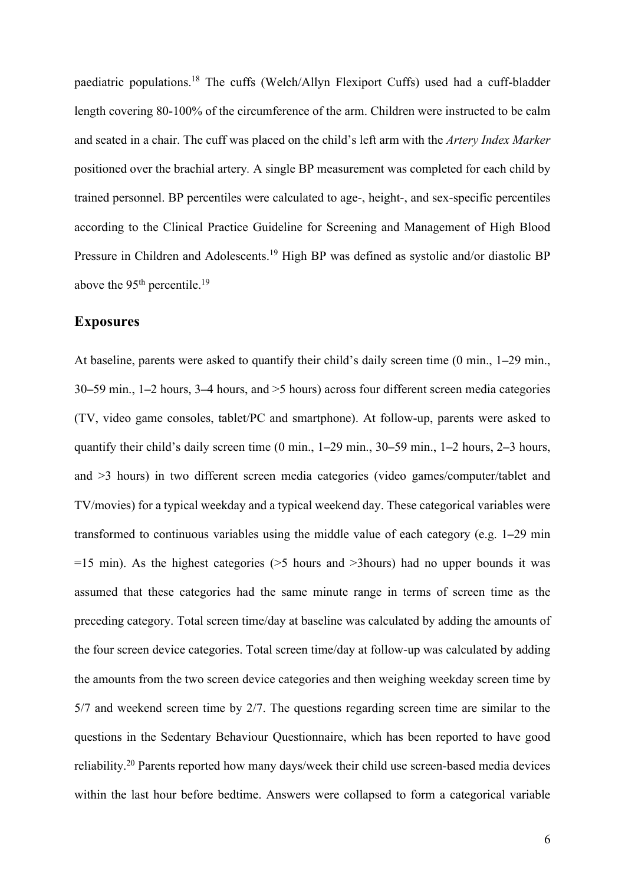paediatric populations.18 The cuffs (Welch/Allyn Flexiport Cuffs) used had a cuff-bladder length covering 80-100% of the circumference of the arm. Children were instructed to be calm and seated in a chair. The cuff was placed on the child's left arm with the *Artery Index Marker*  positioned over the brachial artery*.* A single BP measurement was completed for each child by trained personnel. BP percentiles were calculated to age-, height-, and sex-specific percentiles according to the Clinical Practice Guideline for Screening and Management of High Blood Pressure in Children and Adolescents.<sup>19</sup> High BP was defined as systolic and/or diastolic BP above the  $95<sup>th</sup>$  percentile.<sup>19</sup>

#### **Exposures**

At baseline, parents were asked to quantify their child's daily screen time (0 min., 1**–**29 min., 30**–**59 min., 1**–**2 hours, 3**–**4 hours, and >5 hours) across four different screen media categories (TV, video game consoles, tablet/PC and smartphone). At follow-up, parents were asked to quantify their child's daily screen time (0 min., 1**–**29 min., 30**–**59 min., 1**–**2 hours, 2**–**3 hours, and >3 hours) in two different screen media categories (video games/computer/tablet and TV/movies) for a typical weekday and a typical weekend day. These categorical variables were transformed to continuous variables using the middle value of each category (e.g. 1**–**29 min  $=15$  min). As the highest categories ( $>5$  hours and  $>3$ hours) had no upper bounds it was assumed that these categories had the same minute range in terms of screen time as the preceding category. Total screen time/day at baseline was calculated by adding the amounts of the four screen device categories. Total screen time/day at follow-up was calculated by adding the amounts from the two screen device categories and then weighing weekday screen time by 5/7 and weekend screen time by 2/7. The questions regarding screen time are similar to the questions in the Sedentary Behaviour Questionnaire, which has been reported to have good reliability.20 Parents reported how many days/week their child use screen-based media devices within the last hour before bedtime. Answers were collapsed to form a categorical variable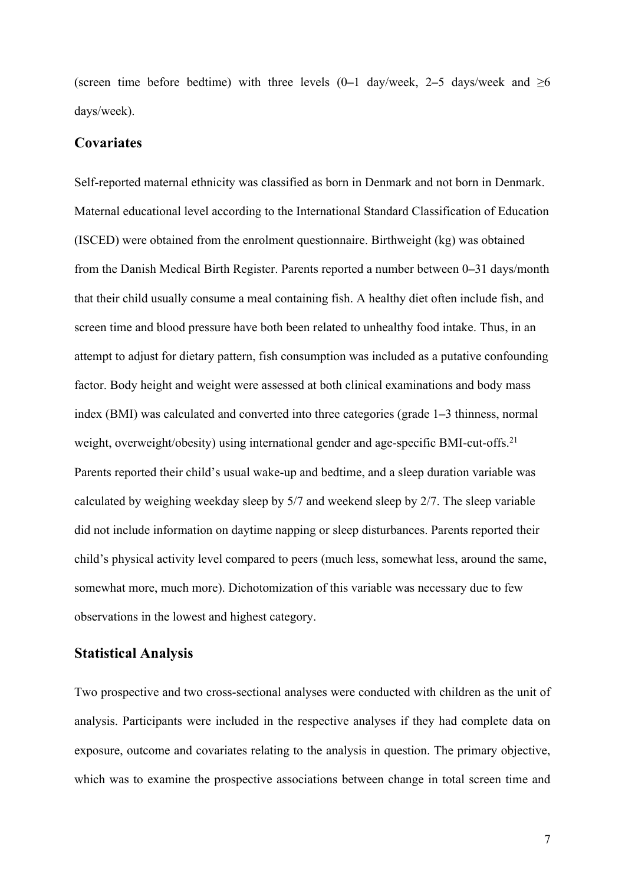(screen time before bedtime) with three levels  $(0-1)$  day/week, 2–5 days/week and  $\geq 6$ days/week).

#### **Covariates**

Self-reported maternal ethnicity was classified as born in Denmark and not born in Denmark. Maternal educational level according to the International Standard Classification of Education (ISCED) were obtained from the enrolment questionnaire. Birthweight (kg) was obtained from the Danish Medical Birth Register. Parents reported a number between 0**–**31 days/month that their child usually consume a meal containing fish. A healthy diet often include fish, and screen time and blood pressure have both been related to unhealthy food intake. Thus, in an attempt to adjust for dietary pattern, fish consumption was included as a putative confounding factor. Body height and weight were assessed at both clinical examinations and body mass index (BMI) was calculated and converted into three categories (grade 1**–**3 thinness, normal weight, overweight/obesity) using international gender and age-specific BMI-cut-offs.<sup>21</sup> Parents reported their child's usual wake-up and bedtime, and a sleep duration variable was calculated by weighing weekday sleep by 5/7 and weekend sleep by 2/7. The sleep variable did not include information on daytime napping or sleep disturbances. Parents reported their child's physical activity level compared to peers (much less, somewhat less, around the same, somewhat more, much more). Dichotomization of this variable was necessary due to few observations in the lowest and highest category.

#### **Statistical Analysis**

Two prospective and two cross-sectional analyses were conducted with children as the unit of analysis. Participants were included in the respective analyses if they had complete data on exposure, outcome and covariates relating to the analysis in question. The primary objective, which was to examine the prospective associations between change in total screen time and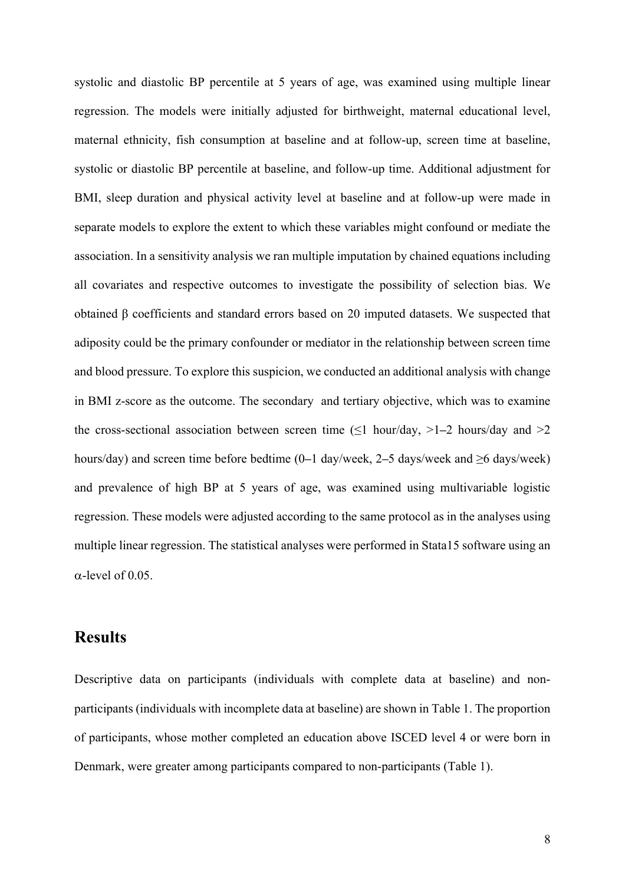systolic and diastolic BP percentile at 5 years of age, was examined using multiple linear regression. The models were initially adjusted for birthweight, maternal educational level, maternal ethnicity, fish consumption at baseline and at follow-up, screen time at baseline, systolic or diastolic BP percentile at baseline, and follow-up time. Additional adjustment for BMI, sleep duration and physical activity level at baseline and at follow-up were made in separate models to explore the extent to which these variables might confound or mediate the association. In a sensitivity analysis we ran multiple imputation by chained equations including all covariates and respective outcomes to investigate the possibility of selection bias. We obtained β coefficients and standard errors based on 20 imputed datasets. We suspected that adiposity could be the primary confounder or mediator in the relationship between screen time and blood pressure. To explore this suspicion, we conducted an additional analysis with change in BMI z-score as the outcome. The secondary and tertiary objective, which was to examine the cross-sectional association between screen time  $(\leq 1 \text{ hour/day}, >1-2 \text{ hours/day}$  and  $>2$ hours/day) and screen time before bedtime (0**–**1 day/week, 2**–**5 days/week and ≥6 days/week) and prevalence of high BP at 5 years of age, was examined using multivariable logistic regression. These models were adjusted according to the same protocol as in the analyses using multiple linear regression. The statistical analyses were performed in Stata15 software using an  $\alpha$ -level of 0.05.

## **Results**

Descriptive data on participants (individuals with complete data at baseline) and nonparticipants (individuals with incomplete data at baseline) are shown in Table 1. The proportion of participants, whose mother completed an education above ISCED level 4 or were born in Denmark, were greater among participants compared to non-participants (Table 1).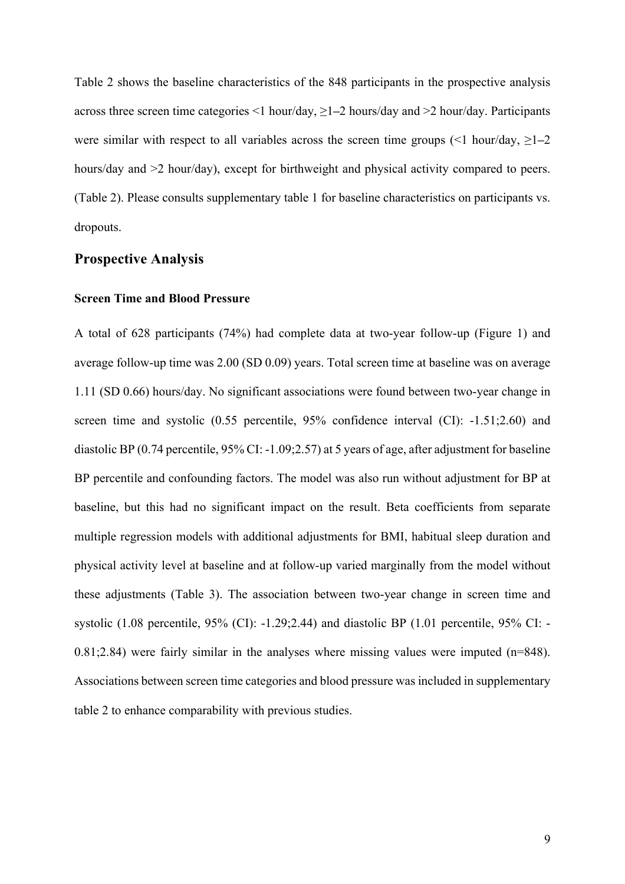Table 2 shows the baseline characteristics of the 848 participants in the prospective analysis across three screen time categories <1 hour/day, ≥1**–**2 hours/day and >2 hour/day. Participants were similar with respect to all variables across the screen time groups  $\leq 1$  hour/day,  $\geq 1-2$ hours/day and  $>2$  hour/day), except for birthweight and physical activity compared to peers. (Table 2). Please consults supplementary table 1 for baseline characteristics on participants vs. dropouts.

#### **Prospective Analysis**

#### **Screen Time and Blood Pressure**

A total of 628 participants (74%) had complete data at two-year follow-up (Figure 1) and average follow-up time was 2.00 (SD 0.09) years. Total screen time at baseline was on average 1.11 (SD 0.66) hours/day. No significant associations were found between two-year change in screen time and systolic (0.55 percentile, 95% confidence interval (CI): -1.51;2.60) and diastolic BP (0.74 percentile, 95% CI: -1.09;2.57) at 5 years of age, after adjustment for baseline BP percentile and confounding factors. The model was also run without adjustment for BP at baseline, but this had no significant impact on the result. Beta coefficients from separate multiple regression models with additional adjustments for BMI, habitual sleep duration and physical activity level at baseline and at follow-up varied marginally from the model without these adjustments (Table 3). The association between two-year change in screen time and systolic (1.08 percentile, 95% (CI): -1.29;2.44) and diastolic BP (1.01 percentile, 95% CI: - 0.81;2.84) were fairly similar in the analyses where missing values were imputed (n=848). Associations between screen time categories and blood pressure was included in supplementary table 2 to enhance comparability with previous studies.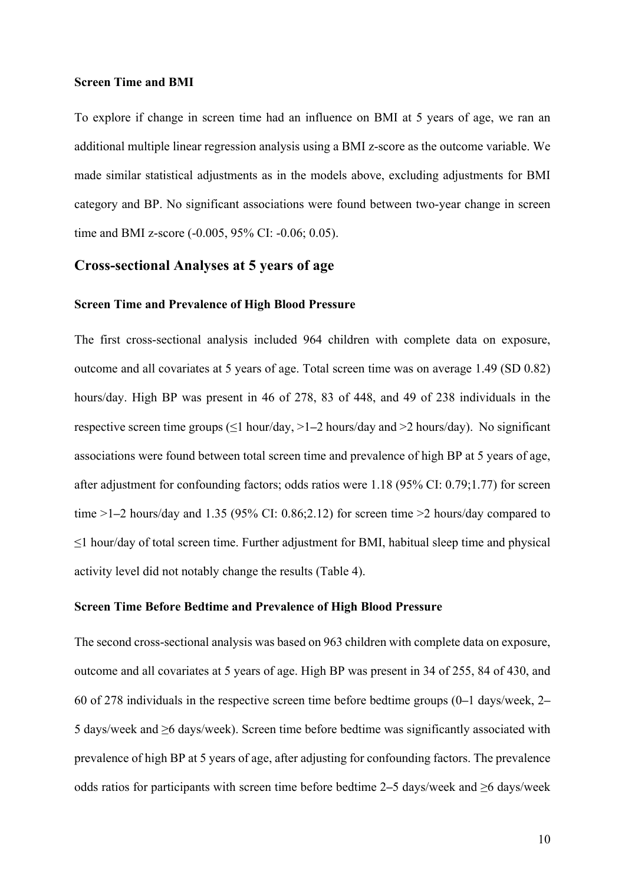#### **Screen Time and BMI**

To explore if change in screen time had an influence on BMI at 5 years of age, we ran an additional multiple linear regression analysis using a BMI z-score as the outcome variable. We made similar statistical adjustments as in the models above, excluding adjustments for BMI category and BP. No significant associations were found between two-year change in screen time and BMI z-score (-0.005, 95% CI: -0.06; 0.05).

#### **Cross-sectional Analyses at 5 years of age**

#### **Screen Time and Prevalence of High Blood Pressure**

The first cross-sectional analysis included 964 children with complete data on exposure, outcome and all covariates at 5 years of age. Total screen time was on average 1.49 (SD 0.82) hours/day. High BP was present in 46 of 278, 83 of 448, and 49 of 238 individuals in the respective screen time groups (≤1 hour/day, >1**–**2 hours/day and >2 hours/day). No significant associations were found between total screen time and prevalence of high BP at 5 years of age, after adjustment for confounding factors; odds ratios were 1.18 (95% CI: 0.79;1.77) for screen time >1**–**2 hours/day and 1.35 (95% CI: 0.86;2.12) for screen time >2 hours/day compared to ≤1 hour/day of total screen time. Further adjustment for BMI, habitual sleep time and physical activity level did not notably change the results (Table 4).

#### **Screen Time Before Bedtime and Prevalence of High Blood Pressure**

The second cross-sectional analysis was based on 963 children with complete data on exposure, outcome and all covariates at 5 years of age. High BP was present in 34 of 255, 84 of 430, and 60 of 278 individuals in the respective screen time before bedtime groups (0**–**1 days/week, 2**–** 5 days/week and ≥6 days/week). Screen time before bedtime was significantly associated with prevalence of high BP at 5 years of age, after adjusting for confounding factors. The prevalence odds ratios for participants with screen time before bedtime 2**–**5 days/week and ≥6 days/week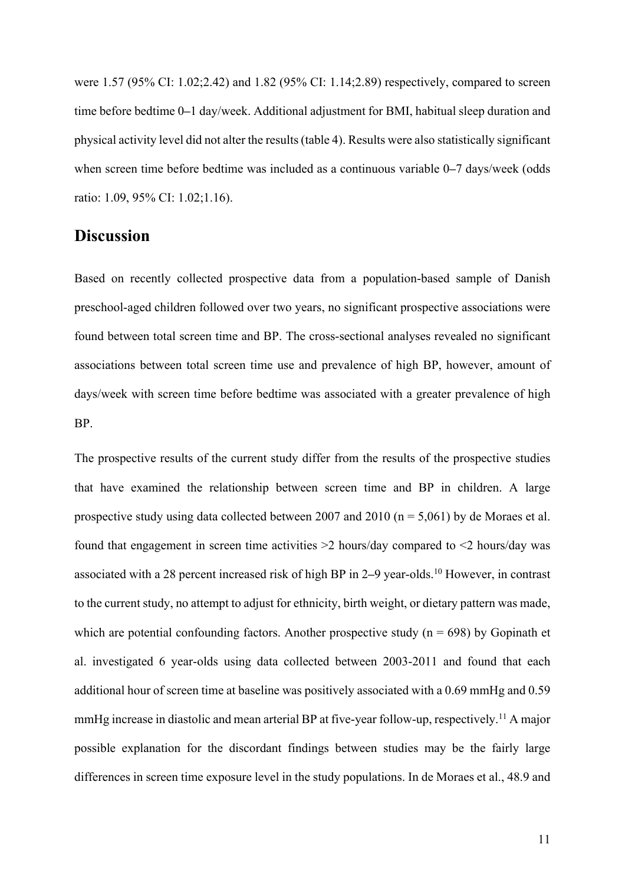were 1.57 (95% CI: 1.02;2.42) and 1.82 (95% CI: 1.14;2.89) respectively, compared to screen time before bedtime 0**–**1 day/week. Additional adjustment for BMI, habitual sleep duration and physical activity level did not alter the results(table 4). Results were also statistically significant when screen time before bedtime was included as a continuous variable 0**–**7 days/week (odds ratio: 1.09, 95% CI: 1.02;1.16).

#### **Discussion**

Based on recently collected prospective data from a population-based sample of Danish preschool-aged children followed over two years, no significant prospective associations were found between total screen time and BP. The cross-sectional analyses revealed no significant associations between total screen time use and prevalence of high BP, however, amount of days/week with screen time before bedtime was associated with a greater prevalence of high BP.

The prospective results of the current study differ from the results of the prospective studies that have examined the relationship between screen time and BP in children. A large prospective study using data collected between 2007 and 2010 ( $n = 5,061$ ) by de Moraes et al. found that engagement in screen time activities  $\geq 2$  hours/day compared to  $\leq 2$  hours/day was associated with a 28 percent increased risk of high BP in 2**–**9 year-olds. <sup>10</sup> However, in contrast to the current study, no attempt to adjust for ethnicity, birth weight, or dietary pattern was made, which are potential confounding factors. Another prospective study ( $n = 698$ ) by Gopinath et al. investigated 6 year-olds using data collected between 2003-2011 and found that each additional hour of screen time at baseline was positively associated with a 0.69 mmHg and 0.59 mmHg increase in diastolic and mean arterial BP at five-year follow-up, respectively.<sup>11</sup> A major possible explanation for the discordant findings between studies may be the fairly large differences in screen time exposure level in the study populations. In de Moraes et al., 48.9 and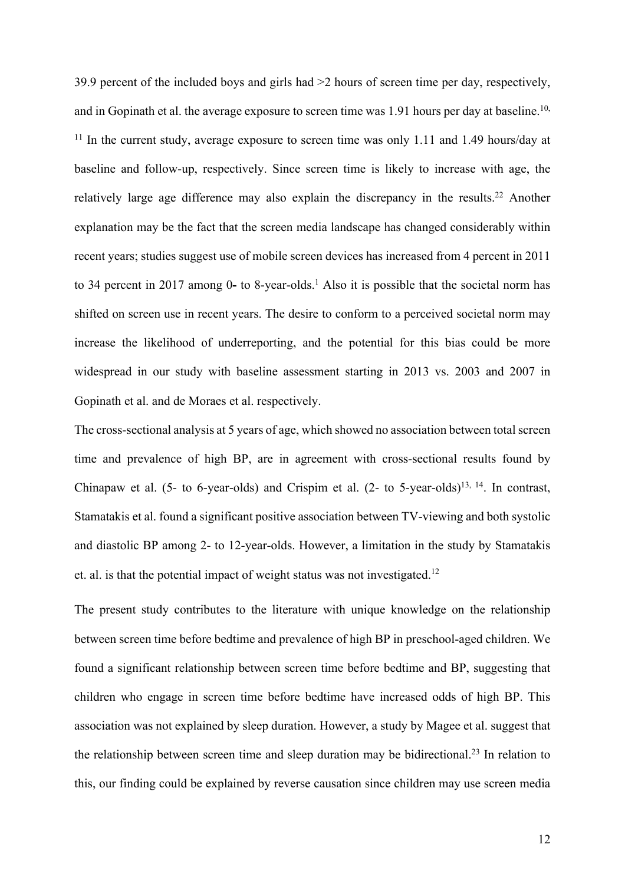39.9 percent of the included boys and girls had >2 hours of screen time per day, respectively, and in Gopinath et al. the average exposure to screen time was 1.91 hours per day at baseline.<sup>10,</sup>  $11$  In the current study, average exposure to screen time was only 1.11 and 1.49 hours/day at baseline and follow-up, respectively. Since screen time is likely to increase with age, the relatively large age difference may also explain the discrepancy in the results.<sup>22</sup> Another explanation may be the fact that the screen media landscape has changed considerably within recent years; studies suggest use of mobile screen devices has increased from 4 percent in 2011 to 34 percent in 2017 among 0- to 8-year-olds.<sup>1</sup> Also it is possible that the societal norm has shifted on screen use in recent years. The desire to conform to a perceived societal norm may increase the likelihood of underreporting, and the potential for this bias could be more widespread in our study with baseline assessment starting in 2013 vs. 2003 and 2007 in Gopinath et al. and de Moraes et al. respectively.

The cross-sectional analysis at 5 years of age, which showed no association between total screen time and prevalence of high BP, are in agreement with cross-sectional results found by Chinapaw et al. (5- to 6-year-olds) and Crispim et al. (2- to 5-year-olds)<sup>13, 14</sup>. In contrast, Stamatakis et al. found a significant positive association between TV-viewing and both systolic and diastolic BP among 2- to 12-year-olds. However, a limitation in the study by Stamatakis et. al. is that the potential impact of weight status was not investigated.<sup>12</sup>

The present study contributes to the literature with unique knowledge on the relationship between screen time before bedtime and prevalence of high BP in preschool-aged children. We found a significant relationship between screen time before bedtime and BP, suggesting that children who engage in screen time before bedtime have increased odds of high BP. This association was not explained by sleep duration. However, a study by Magee et al. suggest that the relationship between screen time and sleep duration may be bidirectional.<sup>23</sup> In relation to this, our finding could be explained by reverse causation since children may use screen media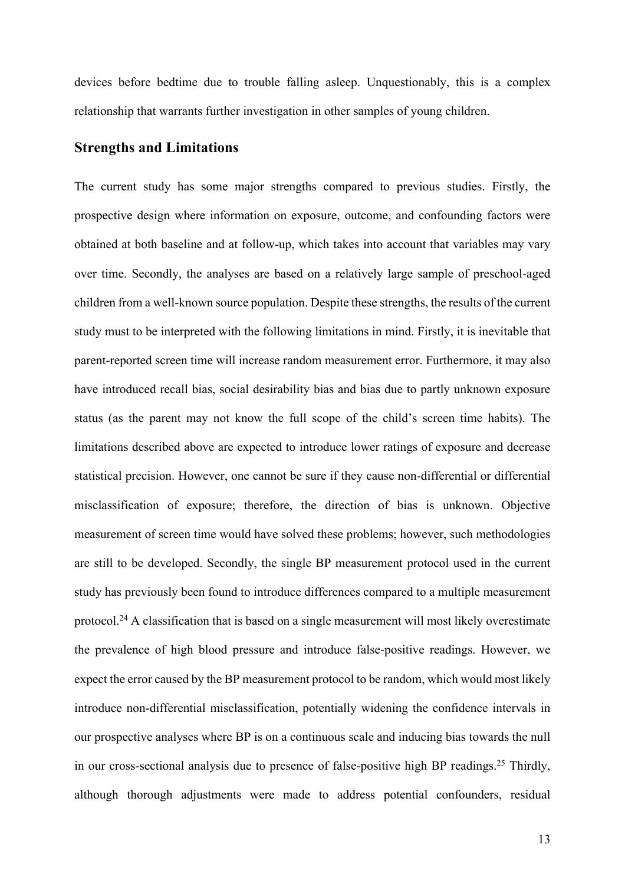devices before bedtime due to trouble falling asleep. Unquestionably, this is a complex relationship that warrants further investigation in other samples of young children.

#### **Strengths and Limitations**

The current study has some major strengths compared to previous studies. Firstly, the prospective design where information on exposure, outcome, and confounding factors were obtained at both baseline and at follow-up, which takes into account that variables may vary over time. Secondly, the analyses are based on a relatively large sample of preschool-aged children from a well-known source population. Despite these strengths, the results of the current study must to be interpreted with the following limitations in mind. Firstly, it is inevitable that parent-reported screen time will increase random measurement error. Furthermore, it may also have introduced recall bias, social desirability bias and bias due to partly unknown exposure status (as the parent may not know the full scope of the child's screen time habits). The limitations described above are expected to introduce lower ratings of exposure and decrease statistical precision. However, one cannot be sure if they cause non-differential or differential misclassification of exposure; therefore, the direction of bias is unknown. Objective measurement of screen time would have solved these problems; however, such methodologies are still to be developed. Secondly, the single BP measurement protocol used in the current study has previously been found to introduce differences compared to a multiple measurement protocol.<sup>24</sup> A classification that is based on a single measurement will most likely overestimate the prevalence of high blood pressure and introduce false-positive readings. However, we expect the error caused by the BP measurement protocol to be random, which would most likely introduce non-differential misclassification, potentially widening the confidence intervals in our prospective analyses where BP is on a continuous scale and inducing bias towards the null in our cross-sectional analysis due to presence of false-positive high BP readings. <sup>25</sup> Thirdly, although thorough adjustments were made to address potential confounders, residual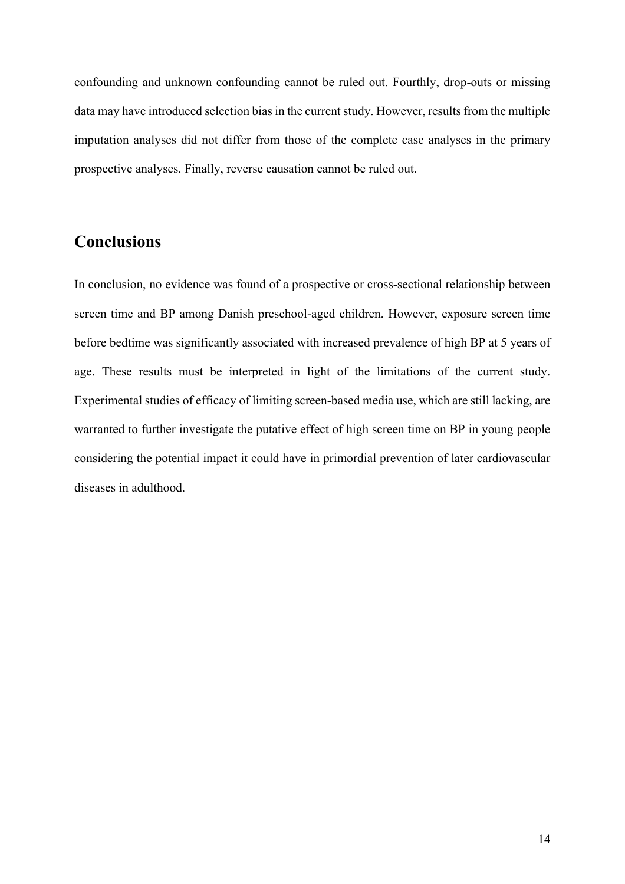confounding and unknown confounding cannot be ruled out. Fourthly, drop-outs or missing data may have introduced selection bias in the current study. However, results from the multiple imputation analyses did not differ from those of the complete case analyses in the primary prospective analyses. Finally, reverse causation cannot be ruled out.

## **Conclusions**

In conclusion, no evidence was found of a prospective or cross-sectional relationship between screen time and BP among Danish preschool-aged children. However, exposure screen time before bedtime was significantly associated with increased prevalence of high BP at 5 years of age. These results must be interpreted in light of the limitations of the current study. Experimental studies of efficacy of limiting screen-based media use, which are still lacking, are warranted to further investigate the putative effect of high screen time on BP in young people considering the potential impact it could have in primordial prevention of later cardiovascular diseases in adulthood.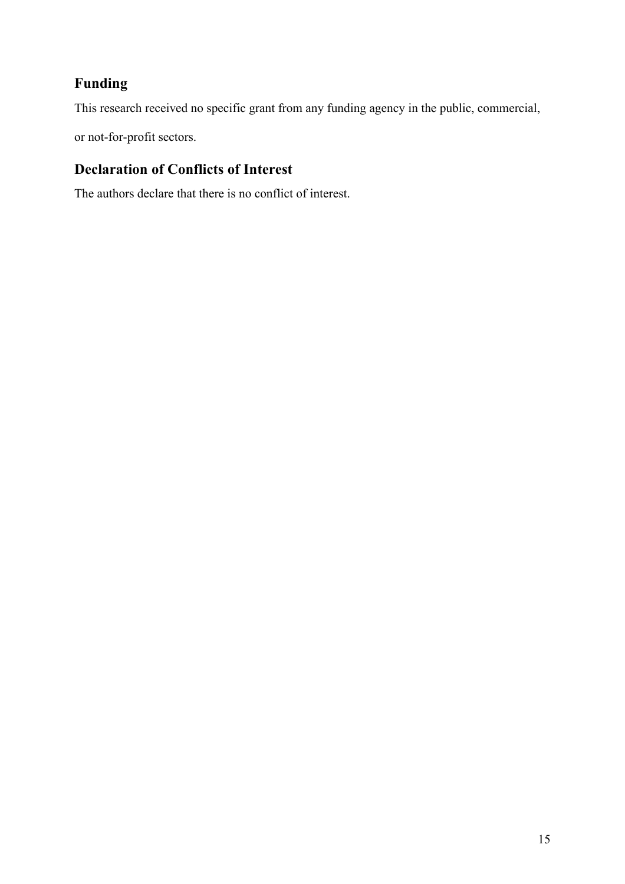## **Funding**

This research received no specific grant from any funding agency in the public, commercial,

or not-for-profit sectors.

## **Declaration of Conflicts of Interest**

The authors declare that there is no conflict of interest.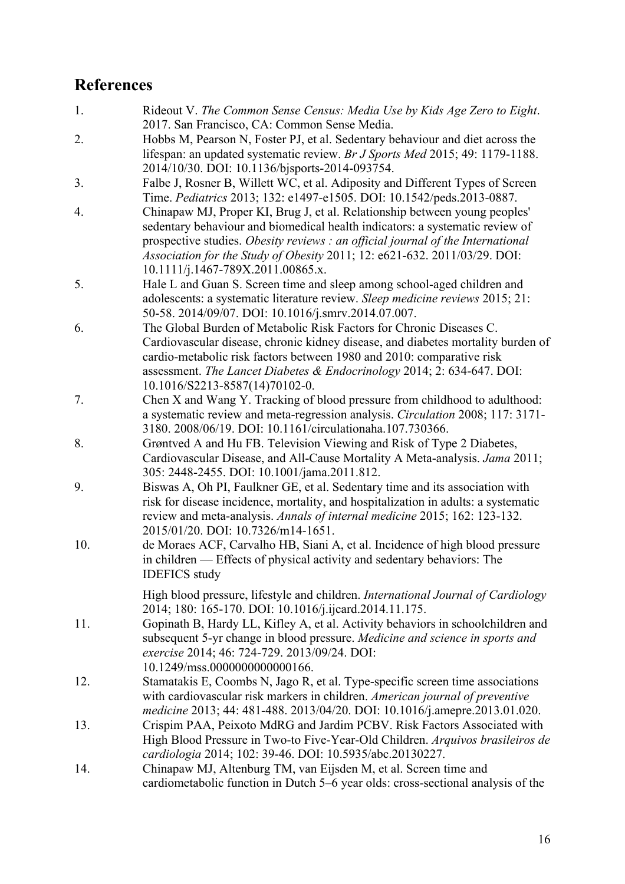## **References**

- 1. Rideout V. *The Common Sense Census: Media Use by Kids Age Zero to Eight*. 2017. San Francisco, CA: Common Sense Media.
- 2. Hobbs M, Pearson N, Foster PJ, et al. Sedentary behaviour and diet across the lifespan: an updated systematic review. *Br J Sports Med* 2015; 49: 1179-1188. 2014/10/30. DOI: 10.1136/bjsports-2014-093754.
- 3. Falbe J, Rosner B, Willett WC, et al. Adiposity and Different Types of Screen Time. *Pediatrics* 2013; 132: e1497-e1505. DOI: 10.1542/peds.2013-0887.
- 4. Chinapaw MJ, Proper KI, Brug J, et al. Relationship between young peoples' sedentary behaviour and biomedical health indicators: a systematic review of prospective studies. *Obesity reviews : an official journal of the International Association for the Study of Obesity* 2011; 12: e621-632. 2011/03/29. DOI: 10.1111/j.1467-789X.2011.00865.x.
- 5. Hale L and Guan S. Screen time and sleep among school-aged children and adolescents: a systematic literature review. *Sleep medicine reviews* 2015; 21: 50-58. 2014/09/07. DOI: 10.1016/j.smrv.2014.07.007.
- 6. The Global Burden of Metabolic Risk Factors for Chronic Diseases C. Cardiovascular disease, chronic kidney disease, and diabetes mortality burden of cardio-metabolic risk factors between 1980 and 2010: comparative risk assessment. *The Lancet Diabetes & Endocrinology* 2014; 2: 634-647. DOI: 10.1016/S2213-8587(14)70102-0.
- 7. Chen X and Wang Y. Tracking of blood pressure from childhood to adulthood: a systematic review and meta-regression analysis. *Circulation* 2008; 117: 3171- 3180. 2008/06/19. DOI: 10.1161/circulationaha.107.730366.
- 8. Grøntved A and Hu FB. Television Viewing and Risk of Type 2 Diabetes, Cardiovascular Disease, and All-Cause Mortality A Meta-analysis. *Jama* 2011; 305: 2448-2455. DOI: 10.1001/jama.2011.812.
- 9. Biswas A, Oh PI, Faulkner GE, et al. Sedentary time and its association with risk for disease incidence, mortality, and hospitalization in adults: a systematic review and meta-analysis. *Annals of internal medicine* 2015; 162: 123-132. 2015/01/20. DOI: 10.7326/m14-1651.
- 10. de Moraes ACF, Carvalho HB, Siani A, et al. Incidence of high blood pressure in children — Effects of physical activity and sedentary behaviors: The IDEFICS study

High blood pressure, lifestyle and children. *International Journal of Cardiology* 2014; 180: 165-170. DOI: 10.1016/j.ijcard.2014.11.175.

- 11. Gopinath B, Hardy LL, Kifley A, et al. Activity behaviors in schoolchildren and subsequent 5-yr change in blood pressure. *Medicine and science in sports and exercise* 2014; 46: 724-729. 2013/09/24. DOI: 10.1249/mss.0000000000000166.
- 12. Stamatakis E, Coombs N, Jago R, et al. Type-specific screen time associations with cardiovascular risk markers in children. *American journal of preventive medicine* 2013; 44: 481-488. 2013/04/20. DOI: 10.1016/j.amepre.2013.01.020.
- 13. Crispim PAA, Peixoto MdRG and Jardim PCBV. Risk Factors Associated with High Blood Pressure in Two-to Five-Year-Old Children. *Arquivos brasileiros de cardiologia* 2014; 102: 39-46. DOI: 10.5935/abc.20130227.
- 14. Chinapaw MJ, Altenburg TM, van Eijsden M, et al. Screen time and cardiometabolic function in Dutch 5–6 year olds: cross-sectional analysis of the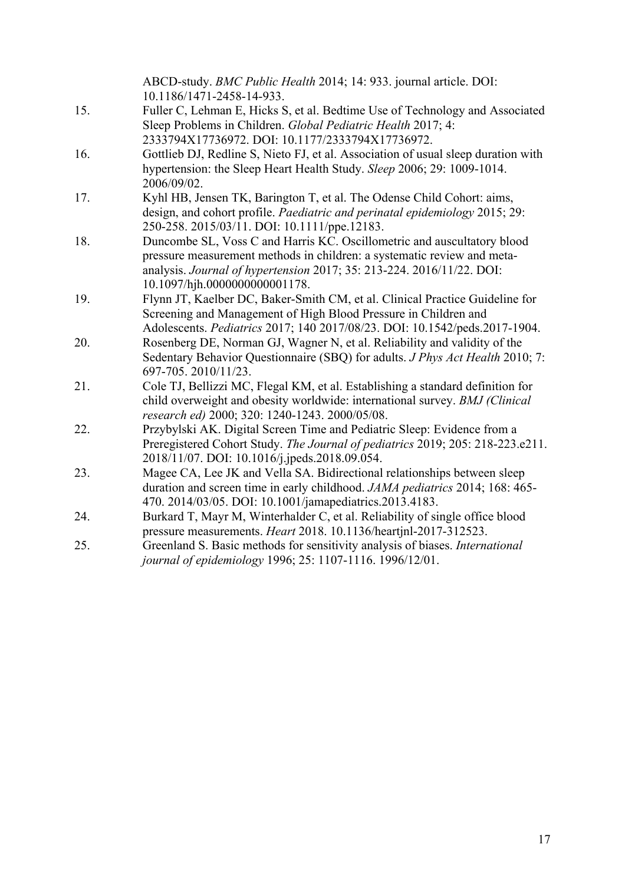|     | ABCD-study. BMC Public Health 2014; 14: 933. journal article. DOI:                                                                                                                                                                                           |
|-----|--------------------------------------------------------------------------------------------------------------------------------------------------------------------------------------------------------------------------------------------------------------|
|     | 10.1186/1471-2458-14-933.                                                                                                                                                                                                                                    |
| 15. | Fuller C, Lehman E, Hicks S, et al. Bedtime Use of Technology and Associated                                                                                                                                                                                 |
|     | Sleep Problems in Children. Global Pediatric Health 2017; 4:<br>2333794X17736972. DOI: 10.1177/2333794X17736972.                                                                                                                                             |
| 16. | Gottlieb DJ, Redline S, Nieto FJ, et al. Association of usual sleep duration with                                                                                                                                                                            |
|     | hypertension: the Sleep Heart Health Study. Sleep 2006; 29: 1009-1014.<br>2006/09/02.                                                                                                                                                                        |
| 17. | Kyhl HB, Jensen TK, Barington T, et al. The Odense Child Cohort: aims,                                                                                                                                                                                       |
|     | design, and cohort profile. Paediatric and perinatal epidemiology 2015; 29:<br>250-258. 2015/03/11. DOI: 10.1111/ppe.12183.                                                                                                                                  |
| 18. | Duncombe SL, Voss C and Harris KC. Oscillometric and auscultatory blood<br>pressure measurement methods in children: a systematic review and meta-<br>analysis. Journal of hypertension 2017; 35: 213-224. 2016/11/22. DOI:<br>10.1097/hjh.0000000000001178. |
| 19. | Flynn JT, Kaelber DC, Baker-Smith CM, et al. Clinical Practice Guideline for                                                                                                                                                                                 |
|     | Screening and Management of High Blood Pressure in Children and                                                                                                                                                                                              |
|     | Adolescents. Pediatrics 2017; 140 2017/08/23. DOI: 10.1542/peds.2017-1904.                                                                                                                                                                                   |
| 20. | Rosenberg DE, Norman GJ, Wagner N, et al. Reliability and validity of the                                                                                                                                                                                    |
|     | Sedentary Behavior Questionnaire (SBQ) for adults. <i>J Phys Act Health</i> 2010; 7:<br>697-705.2010/11/23.                                                                                                                                                  |
| 21. | Cole TJ, Bellizzi MC, Flegal KM, et al. Establishing a standard definition for<br>child overweight and obesity worldwide: international survey. BMJ (Clinical<br>research ed) 2000; 320: 1240-1243. 2000/05/08.                                              |
| 22. | Przybylski AK. Digital Screen Time and Pediatric Sleep: Evidence from a                                                                                                                                                                                      |
|     | Preregistered Cohort Study. The Journal of pediatrics 2019; 205: 218-223.e211.                                                                                                                                                                               |
|     | 2018/11/07. DOI: 10.1016/j.jpeds.2018.09.054.                                                                                                                                                                                                                |
| 23. | Magee CA, Lee JK and Vella SA. Bidirectional relationships between sleep                                                                                                                                                                                     |
|     | duration and screen time in early childhood. JAMA pediatrics 2014; 168: 465-                                                                                                                                                                                 |
|     | 470. 2014/03/05. DOI: 10.1001/jamapediatrics.2013.4183.                                                                                                                                                                                                      |
| 24. | Burkard T, Mayr M, Winterhalder C, et al. Reliability of single office blood                                                                                                                                                                                 |
|     | pressure measurements. Heart 2018. 10.1136/heartjnl-2017-312523.                                                                                                                                                                                             |
| 25. | Greenland S. Basic methods for sensitivity analysis of biases. International                                                                                                                                                                                 |
|     | journal of epidemiology 1996; 25: 1107-1116. 1996/12/01.                                                                                                                                                                                                     |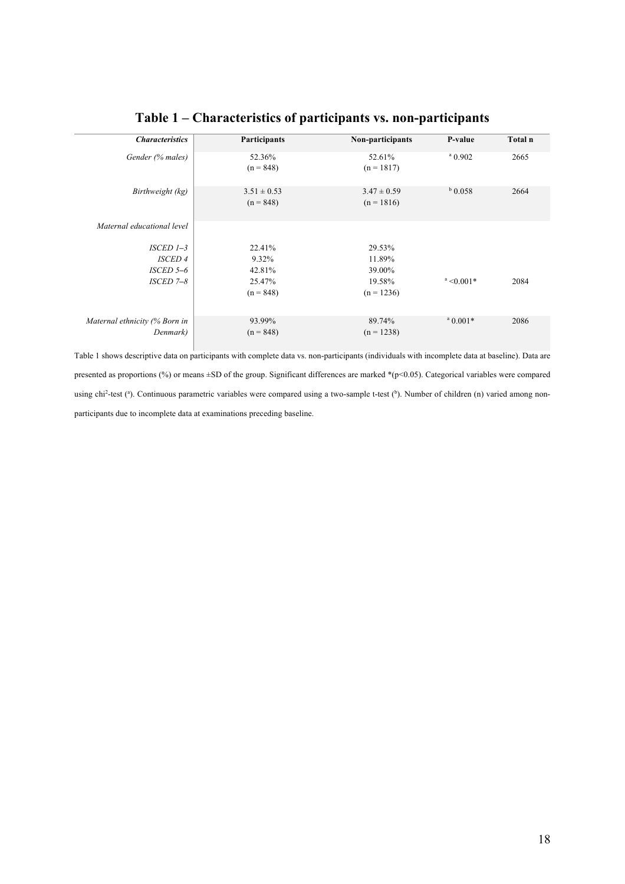| <b>Characteristics</b>        | Participants                   | Non-participants                | P-value          | Total n |
|-------------------------------|--------------------------------|---------------------------------|------------------|---------|
| Gender (% males)              | 52.36%<br>$(n = 848)$          | 52.61%<br>$(n = 1817)$          | $^{\circ}$ 0.902 | 2665    |
| Birthweight (kg)              | $3.51 \pm 0.53$<br>$(n = 848)$ | $3.47 \pm 0.59$<br>$(n = 1816)$ | $b$ 0.058        | 2664    |
| Maternal educational level    |                                |                                 |                  |         |
| $ISCED$ $I-3$                 | 22.41%                         | 29.53%                          |                  |         |
| <b>ISCED 4</b>                | 9.32%                          | 11.89%                          |                  |         |
| ISCED 5-6                     | 42.81%                         | 39.00%                          |                  |         |
| ISCED 7-8                     | 25.47%                         | 19.58%                          | $a < 0.001*$     | 2084    |
|                               | $(n = 848)$                    | $(n = 1236)$                    |                  |         |
| Maternal ethnicity (% Born in | 93.99%                         | 89.74%                          | $^a 0.001*$      | 2086    |
| Denmark)                      | $(n = 848)$                    | $(n = 1238)$                    |                  |         |

## **Table 1 – Characteristics of participants vs. non-participants**

Table 1 shows descriptive data on participants with complete data vs. non-participants (individuals with incomplete data at baseline). Data are presented as proportions (%) or means ±SD of the group. Significant differences are marked \*(p<0.05). Categorical variables were compared using chi<sup>2</sup>-test (<sup>a</sup>). Continuous parametric variables were compared using a two-sample t-test (<sup>b</sup>). Number of children (n) varied among nonparticipants due to incomplete data at examinations preceding baseline.

Н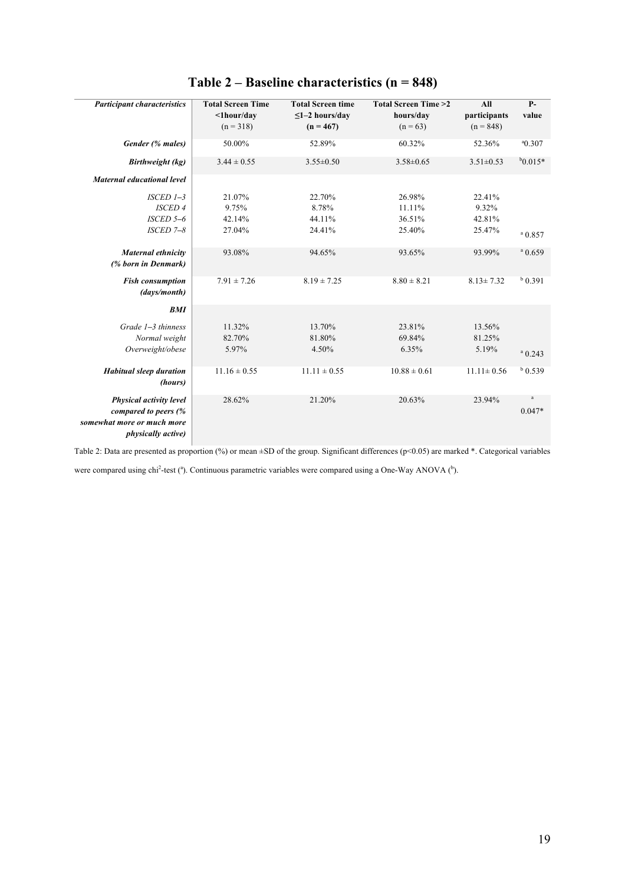| <b>Participant characteristics</b>                                                                         | <b>Total Screen Time</b><br>$\langle$ 1hour/day<br>$(n = 318)$ | <b>Total Screen time</b><br>$\leq$ 1-2 hours/day<br>$(n = 467)$ | <b>Total Screen Time &gt;2</b><br>hours/day<br>$(n = 63)$ | All<br>participants<br>$(n = 848)$ | $P-$<br>value        |
|------------------------------------------------------------------------------------------------------------|----------------------------------------------------------------|-----------------------------------------------------------------|-----------------------------------------------------------|------------------------------------|----------------------|
|                                                                                                            |                                                                |                                                                 |                                                           |                                    |                      |
| Gender (% males)                                                                                           | 50.00%                                                         | 52.89%                                                          | 60.32%                                                    | 52.36%                             | $^{\circ}$ 0.307     |
| Birthweight (kg)                                                                                           | $3.44 \pm 0.55$                                                | $3.55 \pm 0.50$                                                 | $3.58 \pm 0.65$                                           | $3.51 \pm 0.53$                    | $b_{0.015*}$         |
| <b>Maternal educational level</b>                                                                          |                                                                |                                                                 |                                                           |                                    |                      |
| $ISCED$ $I-3$                                                                                              | 21.07%                                                         | 22.70%                                                          | 26.98%                                                    | 22.41%                             |                      |
| <b>ISCED 4</b>                                                                                             | 9.75%                                                          | 8.78%                                                           | 11.11%                                                    | 9.32%                              |                      |
| $ISCED 5-6$                                                                                                | 42.14%                                                         | 44.11%                                                          | 36.51%                                                    | 42.81%                             |                      |
| $ISCED 7-8$                                                                                                | 27.04%                                                         | 24.41%                                                          | 25.40%                                                    | 25.47%                             | $a$ 0.857            |
| Maternal ethnicity<br>(% born in Denmark)                                                                  | 93.08%                                                         | 94.65%                                                          | 93.65%                                                    | 93.99%                             | $^{\rm a}$ 0.659     |
| <b>Fish consumption</b><br>(days/month)                                                                    | $7.91 \pm 7.26$                                                | $8.19 \pm 7.25$                                                 | $8.80 \pm 8.21$                                           | $8.13 \pm 7.32$                    | $b$ 0.391            |
| BMI                                                                                                        |                                                                |                                                                 |                                                           |                                    |                      |
| $Grade$ $I-3$ thinness                                                                                     | 11.32%                                                         | 13.70%                                                          | 23.81%                                                    | 13.56%                             |                      |
| Normal weight                                                                                              | 82.70%                                                         | 81.80%                                                          | 69.84%                                                    | 81.25%                             |                      |
| Overweight/obese                                                                                           | 5.97%                                                          | 4.50%                                                           | 6.35%                                                     | 5.19%                              | $a$ 0.243            |
| <b>Habitual sleep duration</b><br>(hours)                                                                  | $11.16 \pm 0.55$                                               | $11.11 \pm 0.55$                                                | $10.88 \pm 0.61$                                          | $11.11 \pm 0.56$                   | $b$ 0.539            |
| Physical activity level<br>compared to peers (%<br>somewhat more or much more<br><i>physically active)</i> | 28.62%                                                         | 21.20%                                                          | 20.63%                                                    | 23.94%                             | $\rm{a}$<br>$0.047*$ |

## **Table 2 – Baseline characteristics (n = 848)**

Table 2: Data are presented as proportion (%) or mean ±SD of the group. Significant differences (p<0.05) are marked \*. Categorical variables

were compared using chi<sup>2</sup>-test (<sup>a</sup>). Continuous parametric variables were compared using a One-Way ANOVA ( $^b$ ).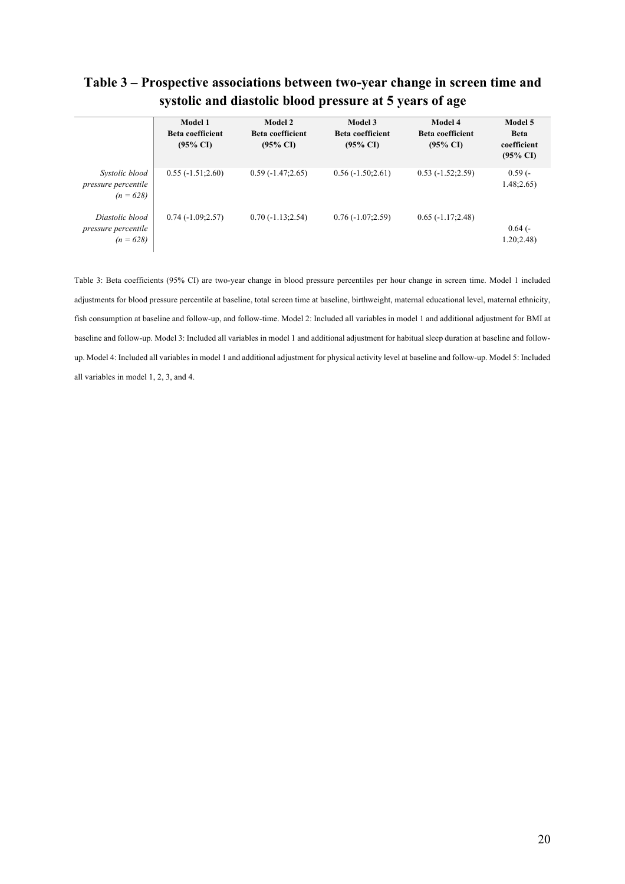| $\alpha$ , $\alpha$ and $\alpha$ and $\alpha$ and $\alpha$ and $\alpha$ and $\alpha$ and $\alpha$ and $\alpha$ and $\alpha$ |                                                           |                                                                  |                                                           |                                                           |                                                              |
|-----------------------------------------------------------------------------------------------------------------------------|-----------------------------------------------------------|------------------------------------------------------------------|-----------------------------------------------------------|-----------------------------------------------------------|--------------------------------------------------------------|
|                                                                                                                             | Model 1<br><b>Beta coefficient</b><br>$(95\% \text{ CI})$ | <b>Model 2</b><br><b>Beta coefficient</b><br>$(95\% \text{ CI})$ | Model 3<br><b>Beta coefficient</b><br>$(95\% \text{ CI})$ | Model 4<br><b>Beta coefficient</b><br>$(95\% \text{ CI})$ | Model 5<br><b>Beta</b><br>coefficient<br>$(95\% \text{ CI})$ |
| Systolic blood<br>pressure percentile<br>$(n = 628)$                                                                        | $0.55(-1.51;2.60)$                                        | $0.59(-1.47;2.65)$                                               | $0.56(-1.50;2.61)$                                        | $0.53(-1.52;2.59)$                                        | $0.59(-$<br>1.48;2.65)                                       |
| Diastolic blood<br>pressure percentile<br>$(n = 628)$                                                                       | $0.74(-1.09;2.57)$                                        | $0.70(-1.13;2.54)$                                               | $0.76(-1.07;2.59)$                                        | $0.65(-1.17;2.48)$                                        | $0.64$ (-<br>1.20;2.48)                                      |

## **Table 3 – Prospective associations between two-year change in screen time and systolic and diastolic blood pressure at 5 years of age**

Table 3: Beta coefficients (95% CI) are two-year change in blood pressure percentiles per hour change in screen time. Model 1 included adjustments for blood pressure percentile at baseline, total screen time at baseline, birthweight, maternal educational level, maternal ethnicity, fish consumption at baseline and follow-up, and follow-time. Model 2: Included all variables in model 1 and additional adjustment for BMI at baseline and follow-up. Model 3: Included all variables in model 1 and additional adjustment for habitual sleep duration at baseline and followup. Model 4: Included all variables in model 1 and additional adjustment for physical activity level at baseline and follow-up. Model 5: Included all variables in model 1, 2, 3, and 4.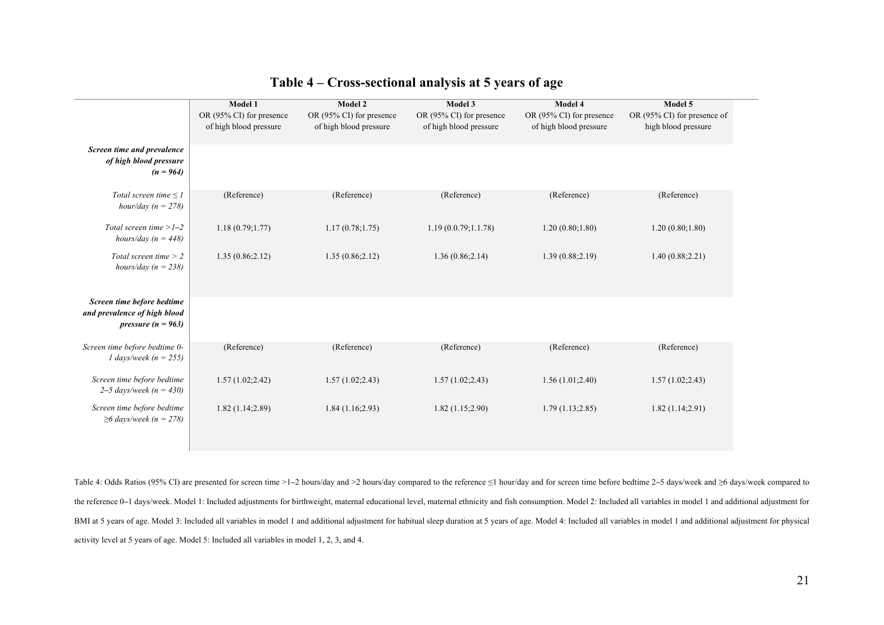|                                                                                    | Model 1<br>OR (95% CI) for presence<br>of high blood pressure | Model 2<br>OR (95% CI) for presence<br>of high blood pressure | Model 3<br>OR (95% CI) for presence<br>of high blood pressure | Model 4<br>OR (95% CI) for presence<br>of high blood pressure | Model 5<br>OR (95% CI) for presence of<br>high blood pressure |
|------------------------------------------------------------------------------------|---------------------------------------------------------------|---------------------------------------------------------------|---------------------------------------------------------------|---------------------------------------------------------------|---------------------------------------------------------------|
| Screen time and prevalence<br>of high blood pressure<br>$(n = 964)$                |                                                               |                                                               |                                                               |                                                               |                                                               |
| Total screen time $\leq$ 1<br>hour/day $(n = 278)$                                 | (Reference)                                                   | (Reference)                                                   | (Reference)                                                   | (Reference)                                                   | (Reference)                                                   |
| Total screen time $>1-2$<br>hours/day ( $n = 448$ )                                | 1.18(0.79;1.77)                                               | 1.17(0.78;1.75)                                               | 1.19(0.0.79;1.1.78)                                           | 1.20(0.80;1.80)                                               | 1.20(0.80;1.80)                                               |
| Total screen time $> 2$<br>hours/day ( $n = 238$ )                                 | 1.35(0.86;2.12)                                               | 1.35(0.86;2.12)                                               | 1.36(0.86;2.14)                                               | 1.39(0.88;2.19)                                               | 1.40(0.88;2.21)                                               |
| Screen time before bedtime<br>and prevalence of high blood<br>pressure $(n = 963)$ |                                                               |                                                               |                                                               |                                                               |                                                               |
| Screen time before bedtime 0-<br>1 days/week ( $n = 255$ )                         | (Reference)                                                   | (Reference)                                                   | (Reference)                                                   | (Reference)                                                   | (Reference)                                                   |
| Screen time before bedtime<br>2–5 days/week ( $n = 430$ )                          | 1.57(1.02;2.42)                                               | 1.57(1.02;2.43)                                               | 1.57(1.02;2.43)                                               | 1.56(1.01;2.40)                                               | 1.57(1.02;2.43)                                               |
| Screen time before bedtime<br>$\geq 6$ days/week (n = 278)                         | 1.82(1.14;2.89)                                               | 1.84(1.16;2.93)                                               | 1.82(1.15;2.90)                                               | 1.79(1.13;2.85)                                               | 1.82(1.14;2.91)                                               |

#### **Table 4 – Cross-sectional analysis at 5 years of age**

Table 4: Odds Ratios (95% CI) are presented for screen time >1**–**2 hours/day and >2 hours/day compared to the reference ≤1 hour/day and for screen time before bedtime 2**–**5 days/week and ≥6 days/week compared to the reference 0-1 days/week. Model 1: Included adjustments for birthweight, maternal educational elvel, maternal ethnicity and fish consumption. Model 2: Included all variables in model 1 and additional adjustment for BMI at 5 years of age. Model 3: Included all variables in model 1 and additional adjustment for habitual sleep duration at 5 years of age. Model 4: Included all variables in model 1 and additional adjustment for physical activity level at 5 years of age. Model 5: Included all variables in model 1, 2, 3, and 4.